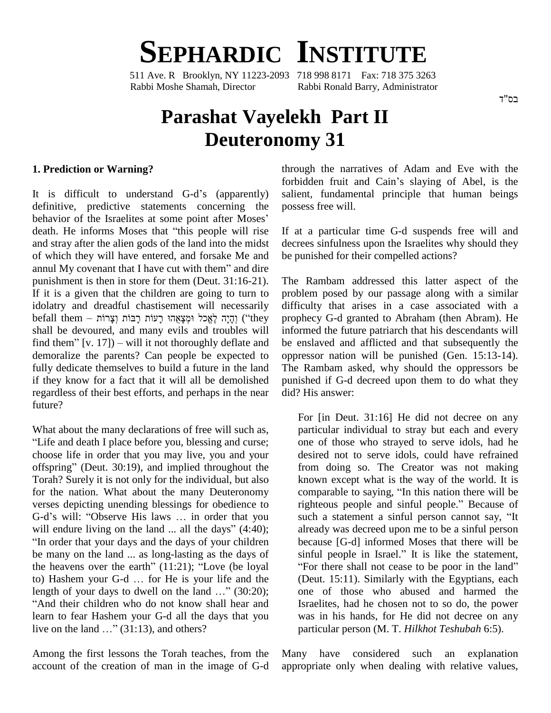**SEPHARDIC INSTITUTE**

511 Ave. R Brooklyn, NY 11223-2093 718 998 8171 Fax: 718 375 3263 Rabbi Moshe Shamah, Director Rabbi Ronald Barry, Administrator

## **Parashat Vayelekh Part II Deuteronomy 31**

## **1. Prediction or Warning?**

It is difficult to understand  $G-d$ 's (apparently) definitive, predictive statements concerning the It is difficult to understand G-d's (apparently) salidefinitive, predictive statements concerning the pos-<br>behavior of the Israelites at some point after Moses' definitive, predictive statements concerning the posse<br>behavior of the Israelites at some point after Moses'<br>death. He informs Moses that "this people will rise If at and stray after the alien gods of the land into the midst decre<br>of which they will have entered, and forsake Me and be pu<br>annul My covenant that I have cut with them" and dire of which they will have entered, and forsake Me and punishment is then in store for them (Deut. 31:16-21). If it is a given that the children are going to turn to idolatry and dreadful chastisement will necessarily  $\widetilde{\mathbf{H}}$  it is a given that the children are going to turn to<br>idolatry and dreadful chastisement will necessarily difficu<br>befall them – וְבָּיָה לָאֱכל וּמְצָאֲהוּ רָעוֹת רָבּוֹת וְצָרוֹת (''they prophe shall be devoured, and many evils and troubles will find them – וְבָיָה לָאֱכל וּמְצָאֲהוּ רָעוֹת רָבּוֹת וְצָרוֹת ("they propheshall be devoured, and many evils and troubles will inform<br>find them" [v. 17]) – will it not thoroughly deflate and be ens demoralize the parents? Can people be expected to fully dedicate themselves to build a future in the land if they know for a fact that it will all be demolished regardless of their best efforts, and perhaps in the near future?

What about the many declarations of free will such as, Life and death I place before you, blessing and curse; choose life in order that you may live, you and your offspring" (Deut.  $30:19$ ), and implied throughout the Torah? Surely it is not only for the individual, but also for the nation. What about the many Deuteronomy coverses depicting unending blessings for obedience to right G-d's will: "Observe His laws ... in order that you sub verses depicting unending blessings for obedience to righteous people and sinful people." Because of G-d's will: "Observe His laws  $\dots$  in order that you will endure living on the land  $\dots$  all the days" (4:40); "In order that your days and the days of your children be many on the land ... as long-lasting as the days of "In order that your days and the days of your children<br>be many on the land ... as long-lasting as the days of<br>the heavens over the earth"  $(11:21)$ ; "Love (be loyal be many on the land ... as long-lasting as the days of<br>the heavens over the earth" (11:21); "Love (be loyal<br>to) Hashem your G-d ... for He is your life and the the heavens over the earth"  $(11:21)$ ; "Love (be loyal to) Hashem your G-d ... for He is your life and the length of your days to dwell on the land ..."  $(30:20)$ ; "And their children who do not know shall hear and learn to fear Hashem your G-d all the days that you "And their children who do not know shall head learn to fear Hashem your G-d all the days that<br>live on the land ..." (31:13), and others?

Among the first lessons the Torah teaches, from the Many account of the creation of man in the image of G-d

through the narratives of Adam and Eve with the forbidden fruit and Cain's slaying of Abel, is the salient, fundamental principle that human beings possess free will.

If at a particular time G-d suspends free will and decrees sinfulness upon the Israelites why should they be punished for their compelled actions?

The Rambam addressed this latter aspect of the problem posed by our passage along with a similar difficulty that arises in a case associated with a prophecy G-d granted to Abraham (then Abram). He informed the future patriarch that his descendants will be enslaved and afflicted and that subsequently the oppressor nation will be punished (Gen. 15:13-14). The Rambam asked, why should the oppressors be punished if G-d decreed upon them to do what they did? His answer:

For [in Deut. 31:16] He did not decree on any particular individual to stray but each and every one of those who strayed to serve idols, had he desired not to serve idols, could have refrained from doing so. The Creator was not making<br>known except what is the way of the world. It is<br>comparable to saying, "In this nation there will be known except what is the way of the world. It is known except what is the way of the world. It is<br>comparable to saying, "In this nation there will be<br>righteous people and sinful people." Because of comparable to saying, "In this nation there will be righteous people and sinful people." Because of such a statement a sinful person cannot say, "It already was decreed upon me to be a sinful person because [G-d] informed Moses that there will be already was decreed upon me to be a sinful person<br>because [G-d] informed Moses that there will be<br>sinful people in Israel." It is like the statement, ecause [G-d] informed Moses that there will be<br>inful people in Israel." It is like the statement,<br>For there shall not cease to be poor in the land" (Deut. 15:11). Similarly with the Egyptians, each one of those who abused and harmed the Israelites, had he chosen not to so do, the power was in his hands, for He did not decree on any particular person (M. T. *Hilkhot Teshubah* 6:5).

have considered such an explanation appropriate only when dealing with relative values,

בס"ד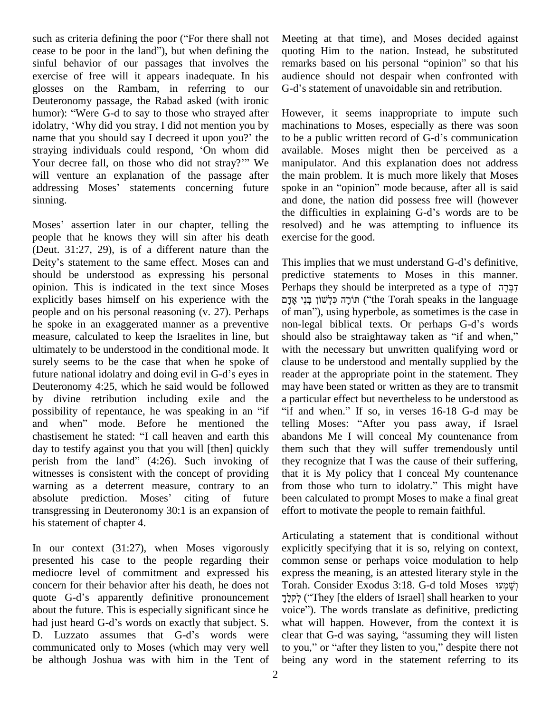such as criteria defining the poor ("For there shall not cease to be poor in the land"), but when defining the sinful behavior of our passages that involves the exercise of free will it appears inadequate. In his audience should not despair when confronted w<br>glosses on the Rambam, in referring to our G-d's statement of unavoidable sin and retribution. glosses on the Rambam, in referring to our G-d<br>Deuteronomy passage, the Rabad asked (with ironic<br>humor): "Were G-d to say to those who strayed after Ho Deuteronomy passage, the Rabad asked (with ironic Deuteronomy passage, the Rabad asked (with ironic humor): "Were G-d to say to those who strayed after Howe idolatry, 'Why did you stray, I did not mention you by machi humor): "Were G-d to say to those who strayed after Howe idolatry, 'Why did you stray, I did not mention you by mach name that you should say I decreed it upon you?' the to be idolatry, 'Why did you stray, I did not mention you by machin<br>name that you should say I decreed it upon you?' the to be a<br>straying individuals could respond, 'On whom did availat name that you should say I decreed it upon you?' the to be a public written record of G-d's communication straying individuals could respond, 'On whom did available. Moses might then be perceived as a will venture an explanation of the passage after Your decree fall, on those who did not stray?" We manipulator. And this explanation does not address will venture an explanation of the passage after the main problem. It is much more likely that Moses addressing Moses' st sinning.

people that he knows they will sin after his death exerci<br>(Deut. 31:27, 29), is of a different nature than the<br>Deity's statement to the same effect. Moses can and This in (Deut. 31:27, 29), is of a different nature than the should be understood as expressing his personal opinion. This is indicated in the text since Moses explicitly bases himself on his experience with the people and on his personal reasoning (v. 27). Perhaps he spoke in an exaggerated manner as a preventive non-legal biblical texts. Or perhaps G-d's words measure, calculated to keep the Israelites in line, but should also be straightaway taken as "if and when," ultimately to be understood in the conditional mode. It surely seems to be the case that when he spoke of cla ultimately to be understood in the conditional mode. It with t<br>surely seems to be the case that when he spoke of clause<br>future national idolatry and doing evil in G-d's eyes in reader Deuteronomy 4:25, which he said would be followed by divine retribution including exile and the a part Deuteronomy 4:25, which he said would be followed may divine retribution including exile and the a p possibility of repentance, he was speaking in an "if "if by divine retribution including exile and the a part possibility of repentance, he was speaking in an "if "if a and when" mode. Before he mentioned the tellin possibility of repentance, he was speaking in an "if and when" mode. Before he mentioned the chastisement he stated: "I call heaven and earth this day to testify against you that you will [then] quickly perish from the land"  $(4:26)$ . Such invoking of witnesses is consistent with the concept of providing that it<br>warning as a deterrent measure, contrary to an from<br>absolute prediction. Moses' citing of future been c warning as a deterrent measure, contrary to an from those who turn to idolatry." This might have transgressing in Deuteronomy 30:1 is an expansion of his statement of chapter 4.

In our context (31:27), when Moses vigorously presented his case to the people regarding their mediocre level of commitment and expressed his expr<br>concern for their behavior after his death, he does not Tora<br>quote G-d's apparently definitive pronouncement  $\vec{\tau}$ concern for their behavior after his death, he does not about the future. This is especially significant since he voice"). The words translate as definitive, predicting quote G-d's apparently definitive pronouncement  $\vec{\mathbf{j}}$ <br>about the future. This is especially significant since he vehad just heard G-d's words on exactly that subject. S. about the future. This is especially significant since he voice<br>had just heard G-d's words on exactly that subject. S. what<br>D. Luzzato assumes that G-d's words were clear communicated only to Moses (which may very well to you," or "after they listen to you," despite there not be although Joshua was with him in the Tent of

Meeting at that time), and Moses decided against<br>quoting Him to the nation. Instead, he substituted<br>remarks based on his personal "opinion" so that his quoting Him to the nation. Instead, he substituted audience should not despair when confronted with remarks based on his personal "opinion" so that his

the difficulties in explaining G-d's words are to be<br>Moses' assertion later in our chapter, telling the resolved) and he was attempting to influence its However, it seems inappropriate to impute such machinations to Moses, especially as there was soon However, it seems inappropriate to impute such<br>machinations to Moses, especially as there was soon<br>to be a public written record of G-d's communication available. Moses might then be perceived as a manipulator. And this explanation does not address the main problem. It is much more likely that Moses manipulator. And this explanation does not address<br>the main problem. It is much more likely that Moses<br>spoke in an "opinion" mode because, after all is said and done, the nation did possess free will (however spoke in an "opinion" mode because, after all is said<br>and done, the nation did possess free will (however<br>the difficulties in explaining G-d's words are to be resolved) and he was attempting to influence its exercise for the good. exercise for the good.<br>This implies that we must understand G-d's definitive,

predictive statements to Moses in this manner. This implies that we must understand G-d's definitive,<br>predictive statements to Moses in this manner.<br>Perhaps they should be interpreted as a type of דְּבָרָה Perhaps they should be interpreted as a type of דְּבְּרָה Perhaps they should be interpreted as a type of דִּבְּרָה<br>הוֹרָה כִּלְשׁוֹן בְּנֵי אָדָם ("the Torah speaks in the language of man"), using hyperbole, as sometimes is the case in חוֹרָה כִּלְשׁוֹן בְּנֵי אָדָם ("the Torah speaks in the language of man"), using hyperbole, as sometimes is the case in non-legal biblical texts. Or perhaps G-d's words of man"), using hyperbole, as sometimes is the case in<br>non-legal biblical texts. Or perhaps G-d's words<br>should also be straightaway taken as "if and when," with the necessary but unwritten qualifying word or clause to be understood and mentally supplied by the reader at the appropriate point in the statement. They may have been stated or written as they are to transmit<br>a particular effect but nevertheless to be understood as a particular effect but nevertheless to be understood as<br>"if and when." If so, in verses 16-18 G-d may be telling Moses: "After you pass away, if Israel abandons Me I will conceal My countenance from them such that they will suffer tremendously until they recognize that I was the cause of their suffering, that it is My policy that I conceal My countenance they recognize that I was the cause of their suffering,<br>that it is My policy that I conceal My countenance<br>from those who turn to idolatry." This might have been calculated to prompt Moses to make a final great effort to motivate the people to remain faithful.

Articulating a statement that is conditional without explicitly specifying that it is so, relying on context, common sense or perhaps voice modulation to help<br>express the meaning, is an attested literary style in the<br>Torah. Consider Exodus 3:18. G-d told Moses יָשָׁמְעַי express the meaning, is an attested literary style in the ess the meaning, is an attested literary style in the<br>h. Consider Exodus 3:18. G-d told Moses שְׁמָעוֹ<br>("They [the elders of Israel] shall hearken to your rorah. Consider Exodus 3:18. G-d told Moses וְשָׁמְעוֹ<br>לִקלֶךְ ("They [the elders of Israel] shall hearken to your<br>voice"). The words translate as definitive, predicting what will happen. However, from the context it is voice"). The words translate as definitive, predicting<br>what will happen. However, from the context it is<br>clear that G-d was saying, "assuming they will listen what will happen. However, from the context it is clear that G-d was saying, "assuming they will listen to you," or "after they listen to you," despite there not being any word in the statement referring to its